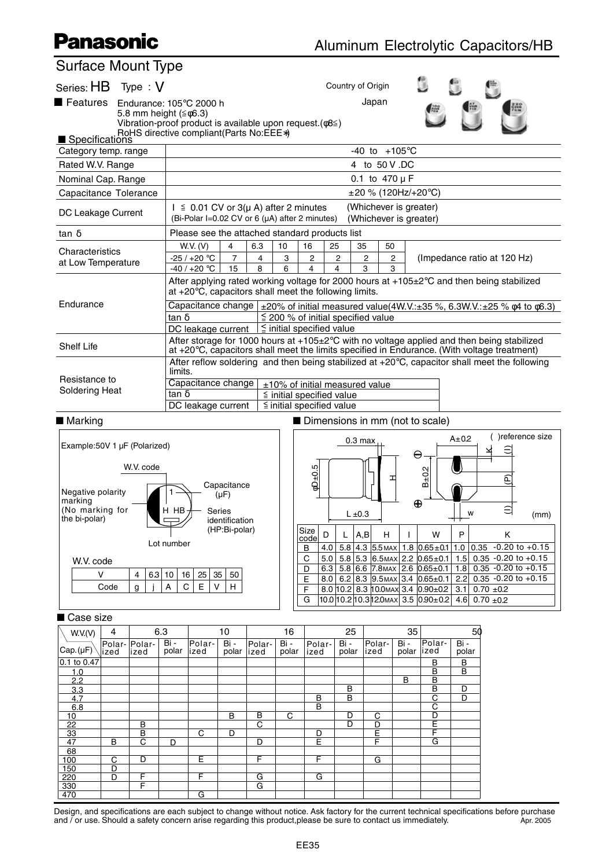## **Panasonic**

 $\overline{c}$  $\overline{D}$  F F

 $\overline{\phantom{a}}$  C  $\Box$  $\Box$   E F  $\overline{G}$ 

 $\overline{D}$ 

| Surface Mount Type                                                                                                                                                                                             |              |                  |   |            |                                                                                                                                                                                               |                                 |        |        |                                                                      |             |                                      |                                                                |                                                                                |        |                                                              |      |
|----------------------------------------------------------------------------------------------------------------------------------------------------------------------------------------------------------------|--------------|------------------|---|------------|-----------------------------------------------------------------------------------------------------------------------------------------------------------------------------------------------|---------------------------------|--------|--------|----------------------------------------------------------------------|-------------|--------------------------------------|----------------------------------------------------------------|--------------------------------------------------------------------------------|--------|--------------------------------------------------------------|------|
| Series: HB Type: V                                                                                                                                                                                             |              |                  |   |            |                                                                                                                                                                                               |                                 |        |        |                                                                      |             | Country of Origin                    |                                                                |                                                                                |        |                                                              |      |
| ■ Features<br>Japan<br>Endurance: $105^{\circ}$ C 2000 h<br>5.8 mm height $(\leq \phi 6.3)$<br>Vibration-proof product is available upon request. $(\phi 8 \leq)$<br>RoHS directive compliant (Parts No: EEE*) |              |                  |   |            |                                                                                                                                                                                               |                                 |        |        |                                                                      |             |                                      |                                                                |                                                                                |        |                                                              |      |
| Specifications                                                                                                                                                                                                 |              |                  |   |            |                                                                                                                                                                                               |                                 |        |        |                                                                      |             |                                      |                                                                |                                                                                |        |                                                              |      |
| Category temp. range                                                                                                                                                                                           |              |                  |   |            | $-40$ to $+105^{\circ}$ C                                                                                                                                                                     |                                 |        |        |                                                                      |             |                                      |                                                                |                                                                                |        |                                                              |      |
| Rated W.V. Range                                                                                                                                                                                               |              |                  |   |            | 4 to 50 V .DC<br>0.1 to $470 \mu F$                                                                                                                                                           |                                 |        |        |                                                                      |             |                                      |                                                                |                                                                                |        |                                                              |      |
| Nominal Cap. Range                                                                                                                                                                                             |              |                  |   |            |                                                                                                                                                                                               |                                 |        |        |                                                                      |             |                                      |                                                                |                                                                                |        |                                                              |      |
| Capacitance Tolerance                                                                                                                                                                                          |              |                  |   |            |                                                                                                                                                                                               |                                 |        |        |                                                                      |             | $\pm 20$ % (120Hz/+20°C)             |                                                                |                                                                                |        |                                                              |      |
| DC Leakage Current                                                                                                                                                                                             |              |                  |   |            | (Whichever is greater)<br>$I \leq 0.01$ CV or 3( $\mu$ A) after 2 minutes<br>(Bi-Polar I=0.02 CV or 6 (µA) after 2 minutes)<br>(Whichever is greater)                                         |                                 |        |        |                                                                      |             |                                      |                                                                |                                                                                |        |                                                              |      |
| tan $\delta$                                                                                                                                                                                                   |              |                  |   |            | Please see the attached standard products list                                                                                                                                                |                                 |        |        |                                                                      |             |                                      |                                                                |                                                                                |        |                                                              |      |
| Characteristics                                                                                                                                                                                                |              |                  |   |            | W.V. (V)                                                                                                                                                                                      | $\overline{4}$                  | 6.3    | 10     | 25<br>16                                                             | 35          | 50                                   |                                                                |                                                                                |        |                                                              |      |
| at Low Temperature                                                                                                                                                                                             |              |                  |   |            | $-25/+20$ °C                                                                                                                                                                                  | $\overline{7}$<br>15            | 4<br>8 | 3<br>6 | 2<br>4                                                               | 2<br>4      | 2<br>3                               | 2                                                              |                                                                                |        | (Impedance ratio at 120 Hz)                                  |      |
|                                                                                                                                                                                                                |              |                  |   |            | $-40/+20 °C$<br>3<br>After applying rated working voltage for 2000 hours at $+105\pm2^{\circ}$ C and then being stabilized<br>at $+20^{\circ}$ C, capacitors shall meet the following limits. |                                 |        |        |                                                                      |             |                                      |                                                                |                                                                                |        |                                                              |      |
| Endurance                                                                                                                                                                                                      |              |                  |   |            | Capacitance change $\pm$ 20% of initial measured value(4W.V.: $\pm$ 35 %, 6.3W.V.: $\pm$ 25 % $\phi$ 4 to $\phi$ 6.3)                                                                         |                                 |        |        |                                                                      |             |                                      |                                                                |                                                                                |        |                                                              |      |
|                                                                                                                                                                                                                |              |                  |   |            | $\leq$ 200 % of initial specified value<br>tan $\delta$                                                                                                                                       |                                 |        |        |                                                                      |             |                                      |                                                                |                                                                                |        |                                                              |      |
|                                                                                                                                                                                                                |              |                  |   |            | $\leq$ initial specified value<br>DC leakage current<br>After storage for 1000 hours at +105±2°C with no voltage applied and then being stabilized                                            |                                 |        |        |                                                                      |             |                                      |                                                                |                                                                                |        |                                                              |      |
| <b>Shelf Life</b>                                                                                                                                                                                              |              |                  |   |            | at +20°C, capacitors shall meet the limits specified in Endurance. (With voltage treatment)                                                                                                   |                                 |        |        |                                                                      |             |                                      |                                                                |                                                                                |        |                                                              |      |
|                                                                                                                                                                                                                |              |                  |   |            | After reflow soldering and then being stabilized at $+20^{\circ}$ C, capacitor shall meet the following<br>limits.                                                                            |                                 |        |        |                                                                      |             |                                      |                                                                |                                                                                |        |                                                              |      |
| Resistance to<br><b>Soldering Heat</b>                                                                                                                                                                         |              |                  |   |            | Capacitance change<br>±10% of initial measured value                                                                                                                                          |                                 |        |        |                                                                      |             |                                      |                                                                |                                                                                |        |                                                              |      |
|                                                                                                                                                                                                                |              |                  |   |            | tan $\delta$<br>$\leq$ initial specified value<br>$\le$ initial specified value<br>DC leakage current                                                                                         |                                 |        |        |                                                                      |             |                                      |                                                                |                                                                                |        |                                                              |      |
|                                                                                                                                                                                                                |              |                  |   |            |                                                                                                                                                                                               |                                 |        |        | Dimensions in mm (not to scale)                                      |             |                                      |                                                                |                                                                                |        |                                                              |      |
| ■ Marking                                                                                                                                                                                                      |              |                  |   |            |                                                                                                                                                                                               |                                 |        |        |                                                                      |             |                                      |                                                                |                                                                                |        |                                                              |      |
| Example:50V 1 µF (Polarized)                                                                                                                                                                                   |              |                  |   |            |                                                                                                                                                                                               |                                 |        |        | )reference size<br>$A \pm 0.2$<br>$0.3 \text{ max}$<br>≘<br>$\Theta$ |             |                                      |                                                                |                                                                                |        |                                                              |      |
| Negative polarity                                                                                                                                                                                              |              | W.V. code        |   |            |                                                                                                                                                                                               | Capacitance<br>$(\mu F)$        |        |        | ю<br>$B \pm 0.2$<br>$\phi$ D±0.<br>E<br>⊐                            |             |                                      |                                                                |                                                                                |        |                                                              |      |
| marking<br>(No marking for                                                                                                                                                                                     |              |                  |   | н нв       |                                                                                                                                                                                               | Series                          |        |        |                                                                      | $L \pm 0.3$ |                                      | $\bigoplus$                                                    |                                                                                | W      |                                                              | (mm) |
| the bi-polar)                                                                                                                                                                                                  |              |                  |   |            |                                                                                                                                                                                               | identification<br>(HP:Bi-polar) |        |        | - L<br>Size                                                          |             | п.                                   |                                                                |                                                                                | . .    |                                                              |      |
|                                                                                                                                                                                                                |              |                  |   | Lot number |                                                                                                                                                                                               |                                 |        |        | D<br>code                                                            | A, B<br>L.  | н                                    | $\mathbf{I}$                                                   | w                                                                              | P      | Κ                                                            |      |
| W.V. code                                                                                                                                                                                                      |              |                  |   |            |                                                                                                                                                                                               |                                 |        |        | B<br>C                                                               |             |                                      |                                                                |                                                                                |        | 4.0 $5.8$ 4.3 5.5 MAX 1.8 0.65 ± 0.1 1.0 0.35 -0.20 to +0.15 |      |
|                                                                                                                                                                                                                | v            | 4                |   | 6.3 10     | $5.0$ 5.8 5.3 6.5 MAX 2.2 0.65 ± 0.1 1.5 0.35 - 0.20 to + 0.15<br>6.3   5.8   6.6   7.8 MAX   2.6   0.65 ± 0.1   1.8   0.35 - 0.20 to + 0.15<br>D<br>35<br>25<br>50<br>16                     |                                 |        |        |                                                                      |             |                                      |                                                                |                                                                                |        |                                                              |      |
| Code<br>g                                                                                                                                                                                                      |              | A<br>$\mathbf C$ | E | V<br>H     |                                                                                                                                                                                               |                                 | Ε<br>F |        |                                                                      |             | 8.0 10.2 8.3 10.0 MAX 3.4 0.90 ± 0.2 | 3.1                                                            | 8.0 6.2 8.3 9.5 MAX 3.4 0.65 ± 0.1 2.2 0.35 - 0.20 to + 0.15<br>$0.70 \pm 0.2$ |        |                                                              |      |
|                                                                                                                                                                                                                |              |                  |   |            |                                                                                                                                                                                               |                                 | G      |        |                                                                      |             |                                      | $10.0 10.2 10.3 12.0$ MAX 3.5 $ 0.90\pm0.2 $ 4.6 0.70 $\pm0.2$ |                                                                                |        |                                                              |      |
|                                                                                                                                                                                                                |              |                  |   |            |                                                                                                                                                                                               |                                 |        |        |                                                                      |             |                                      |                                                                |                                                                                |        |                                                              |      |
| ■ Case size<br>10<br>6.3<br>4                                                                                                                                                                                  |              |                  |   |            |                                                                                                                                                                                               | 16                              |        | 25     |                                                                      | 35          |                                      | 50                                                             |                                                                                |        |                                                              |      |
| W.V.(V)                                                                                                                                                                                                        | Polar-Polar- |                  |   | Bi -       | Polar-                                                                                                                                                                                        | Bi -                            | Polar- | Bi -   | Polar-                                                               | Bi -        | Polar-                               | Bi -                                                           | Polar-                                                                         | Bi -   |                                                              |      |
| Cap.(µF)                                                                                                                                                                                                       | ized         | lized            |   | polar      | lized                                                                                                                                                                                         | polar                           | lized  | polar  | ized                                                                 | polar       | lized                                | polar                                                          | lized                                                                          | polar  |                                                              |      |
| 0.1 to 0.47<br>1.0                                                                                                                                                                                             |              |                  |   |            |                                                                                                                                                                                               |                                 |        |        |                                                                      |             |                                      |                                                                | B<br>B                                                                         | B<br>В |                                                              |      |
| 2.2                                                                                                                                                                                                            |              |                  |   |            |                                                                                                                                                                                               |                                 |        |        |                                                                      |             |                                      | $\overline{\mathsf{B}}$                                        | B                                                                              |        |                                                              |      |
| 3.3<br>4.7                                                                                                                                                                                                     |              |                  |   |            |                                                                                                                                                                                               |                                 |        |        | B                                                                    | B<br>B      |                                      |                                                                | В<br>$\overline{\mathrm{c}}$                                                   | D<br>D |                                                              |      |
| 6.8<br>10                                                                                                                                                                                                      |              |                  |   |            |                                                                                                                                                                                               | B                               | В      | C      | B                                                                    | D           | C                                    |                                                                | $\overline{\text{c}}$<br>$\overline{D}$                                        |        |                                                              |      |
| 22                                                                                                                                                                                                             |              | B                |   |            |                                                                                                                                                                                               |                                 | С      |        |                                                                      | D           | <u>D</u>                             |                                                                | Ε                                                                              |        |                                                              |      |
| 33                                                                                                                                                                                                             |              | B                |   |            | $\overline{C}$                                                                                                                                                                                | D                               |        |        | D                                                                    |             | E                                    |                                                                | F                                                                              |        |                                                              |      |

Design, and specifications are each subject to change without notice. Ask factory for the current technical specifications before purchase and  $\overline{\prime}$  or use. Should a safety concern arise regarding this product,please be sure to contact us immediately.  $\overline{\phantom{a}}$  Apr. 2005

 E F  $\overline{G}$ 

 F  $\overline{G}$ 

 $\overline{D}$  F G G

B C D D E F G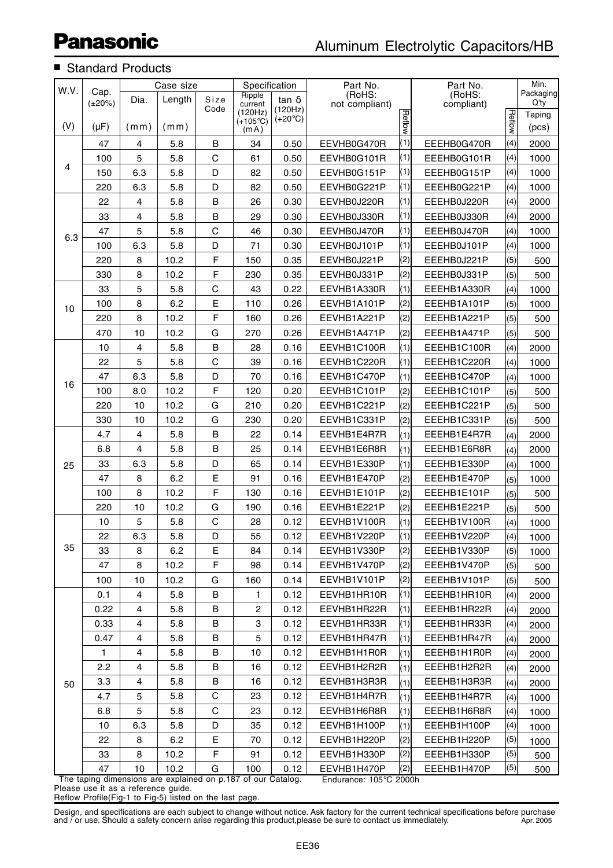## ■ Standard Products

| W.V. |                      |                | Case size |             | Specification                |                             | Part No.                 |               | Part No.             |        | Min.              |
|------|----------------------|----------------|-----------|-------------|------------------------------|-----------------------------|--------------------------|---------------|----------------------|--------|-------------------|
|      | Cap.<br>$(\pm 20\%)$ | Dia.           | Length    | Size        | Ripple<br>current            | $tan \delta$                | (RoHS:<br>not compliant) |               | (RoHS:<br>compliant) |        | Packaging<br>Q'ty |
|      |                      |                |           | Code        | (120Hz)<br>$(+105^{\circ}C)$ | (120Hz)<br>$(+20^{\circ}C)$ |                          |               |                      |        | Taping            |
| (V)  | $(\mu F)$            | (mm)           | (mm)      |             | (mA)                         |                             |                          | <b>Reflow</b> |                      | Reflow | (pcs)             |
|      | 47                   | 4              | 5.8       | B           | 34                           | 0.50                        | EEVHB0G470R              | (1)           | EEEHB0G470R          | (4)    | 2000              |
|      | 100                  | 5              | 5.8       | $\mathsf C$ | 61                           | 0.50                        | EEVHB0G101R              | (1)           | EEEHB0G101R          | (4)    | 1000              |
| 4    | 150                  | 6.3            | 5.8       | D           | 82                           | 0.50                        | EEVHB0G151P              | (1)           | EEEHB0G151P          | (4)    | 1000              |
|      | 220                  | 6.3            | 5.8       | D           | 82                           | 0.50                        | EEVHB0G221P              | (1)           | EEEHB0G221P          | (4)    | 1000              |
|      | 22                   | $\overline{4}$ | 5.8       | B           | 26                           | 0.30                        | EEVHB0J220R              | (1)           | EEEHB0J220R          | (4)    | 2000              |
|      | 33                   | 4              | 5.8       | B           | 29                           | 0.30                        | EEVHB0J330R              | (1)           | EEEHB0J330R          | (4)    | 2000              |
| 6.3  | 47                   | 5              | 5.8       | $\mathsf C$ | 46                           | 0.30                        | EEVHB0J470R              | (1)           | EEEHB0J470R          | (4)    | 1000              |
|      | 100                  | 6.3            | 5.8       | D           | 71                           | 0.30                        | EEVHB0J101P              | (1)           | EEEHB0J101P          | (4)    | 1000              |
|      | 220                  | 8              | 10.2      | F           | 150                          | 0.35                        | EEVHB0J221P              | (2)           | EEEHB0J221P          | (5)    | 500               |
|      | 330                  | 8              | 10.2      | F           | 230                          | 0.35                        | EEVHB0J331P              | (2)           | EEEHB0J331P          | (5)    | 500               |
|      | 33                   | 5              | 5.8       | $\mathsf C$ | 43                           | 0.22                        | EEVHB1A330R              | (1)           | EEEHB1A330R          | (4)    | 1000              |
| 10   | 100                  | 8              | 6.2       | E           | 110                          | 0.26                        | EEVHB1A101P              | (2)           | EEEHB1A101P          | (5)    | 1000              |
|      | 220                  | 8              | 10.2      | F           | 160                          | 0.26                        | EEVHB1A221P              | (2)           | EEEHB1A221P          | (5)    | 500               |
|      | 470                  | 10             | 10.2      | G           | 270                          | 0.26                        | EEVHB1A471P              | (2)           | EEEHB1A471P          | (5)    | 500               |
|      | 10                   | 4              | 5.8       | B           | 28                           | 0.16                        | EEVHB1C100R              | (1)           | EEEHB1C100R          | (4)    | 2000              |
|      | 22                   | 5              | 5.8       | $\mathsf C$ | 39                           | 0.16                        | EEVHB1C220R              | (1)           | EEEHB1C220R          | (4)    | 1000              |
| 16   | 47                   | 6.3            | 5.8       | D           | 70                           | 0.16                        | EEVHB1C470P              | (1)           | EEEHB1C470P          | (4)    | 1000              |
|      | 100                  | 8.0            | 10.2      | F           | 120                          | 0.20                        | EEVHB1C101P              | (2)           | EEEHB1C101P          | (5)    | 500               |
|      | 220                  | 10             | 10.2      | G           | 210                          | 0.20                        | EEVHB1C221P              | (2)           | EEEHB1C221P          | (5)    | 500               |
|      | 330                  | 10             | 10.2      | G           | 230                          | 0.20                        | EEVHB1C331P              | (2)           | EEEHB1C331P          | (5)    | 500               |
|      | 4.7                  | 4              | 5.8       | B           | 22                           | 0.14                        | EEVHB1E4R7R              | (1)           | EEEHB1E4R7R          | (4)    | 2000              |
| 25   | 6.8                  | 4              | 5.8       | B           | 25                           | 0.14                        | EEVHB1E6R8R              | (1)           | EEEHB1E6R8R          | (4)    | 2000              |
|      | 33                   | 6.3            | 5.8       | D           | 65                           | 0.14                        | EEVHB1E330P              | (1)           | EEEHB1E330P          | (4)    | 1000              |
|      | 47                   | 8              | 6.2       | E           | 91                           | 0.16                        | EEVHB1E470P              | (2)           | EEEHB1E470P          | (5)    | 1000              |
|      | 100                  | 8              | 10.2      | F           | 130                          | 0.16                        | EEVHB1E101P              | (2)           | EEEHB1E101P          | (5)    | 500               |
|      | 220                  | 10             | 10.2      | G           | 190                          | 0.16                        | EEVHB1E221P              | (2)           | EEEHB1E221P          | (5)    | 500               |
|      | 10                   | 5              | 5.8       | $\mathsf C$ | 28                           | 0.12                        | EEVHB1V100R              | (1)           | EEEHB1V100R          | (4)    | 1000              |
|      | 22                   | 6.3            | 5.8       | D           | 55                           | 0.12                        | EEVHB1V220P              | (1)           | EEEHB1V220P          | (4)    | 1000              |
| 35   | 33                   | 8              | 6.2       | Е           | 84                           | 0.14                        | EEVHB1V330P              | (2)           | EEEHB1V330P          | (5)    | 1000              |
|      | 47                   | 8              | 10.2      | F           | 98                           | 0.14                        | EEVHB1V470P              | (2)           | EEEHB1V470P          | (5)    | 500               |
|      | 100                  | 10             | 10.2      | G           | 160                          | 0.14                        | EEVHB1V101P              | (2)           | EEEHB1V101P          | (5)    | 500               |
|      | 0.1                  | 4              | 5.8       | B           | 1                            | 0.12                        | EEVHB1HR10R              | (1)           | EEEHB1HR10R          | (4)    | 2000              |
|      | 0.22                 | $\overline{4}$ | 5.8       | B           | $\overline{c}$               | 0.12                        | EEVHB1HR22R              | (1)           | EEEHB1HR22R          | (4)    | 2000              |
|      | 0.33                 | 4              | 5.8       | B           | 3                            | 0.12                        | EEVHB1HR33R              | (1)           | EEEHB1HR33R          | (4)    | 2000              |
|      | 0.47                 | 4              | 5.8       | В           | 5                            | 0.12                        | EEVHB1HR47R              | (1)           | EEEHB1HR47R          | (4)    | 2000              |
|      | $\mathbf{1}$         | 4              | 5.8       | B           | 10                           | 0.12                        | EEVHB1H1R0R              | (1)           | EEEHB1H1R0R          | (4)    | 2000              |
|      | 2.2                  | 4              | 5.8       | B           | 16                           | 0.12                        | EEVHB1H2R2R              | (1)           | EEEHB1H2R2R          | (4)    | 2000              |
| 50   | 3.3                  | 4              | 5.8       | B           | 16                           | 0.12                        | EEVHB1H3R3R              | (1)           | EEEHB1H3R3R          | (4)    | 2000              |
|      | 4.7                  | 5              | 5.8       | $\mathbf C$ | 23                           | 0.12                        | EEVHB1H4R7R              | (1)           | EEEHB1H4R7R          | (4)    | 1000              |
|      | 6.8                  | 5              | 5.8       | С           | 23                           | 0.12                        | EEVHB1H6R8R              | (1)           | EEEHB1H6R8R          | (4)    | 1000              |
|      | 10 <sup>°</sup>      | 6.3            | 5.8       | D           | 35                           | 0.12                        | EEVHB1H100P              | (1)           | EEEHB1H100P          | (4)    | 1000              |
|      | 22                   | 8              | 6.2       | Е           | 70                           | 0.12                        | EEVHB1H220P              | (2)           | EEEHB1H220P          | (5)    | 1000              |
|      | 33                   | 8              | 10.2      | F           | 91                           | 0.12                        | EEVHB1H330P              | (2)           | EEEHB1H330P          | (5)    | 500               |
|      | 47                   | 10             | 10.2      | G           | 100                          | 0.12                        | EEVHB1H470P              | (2)           | EEEHB1H470P          | (5)    | 500               |

Endurance: 105°C 2000h The taping dimensions are explained on p.187 of our Catalog. Please use it as a reference guide.

Reflow Profile(Fig-1 to Fig-5) listed on the last page.

Design, and specifications are each subject to change without notice. Ask factory for the current technical specifications before purchase and / or use. Should a safety concern arise regarding this product,please be sure to contact us immediately. Apr. 2005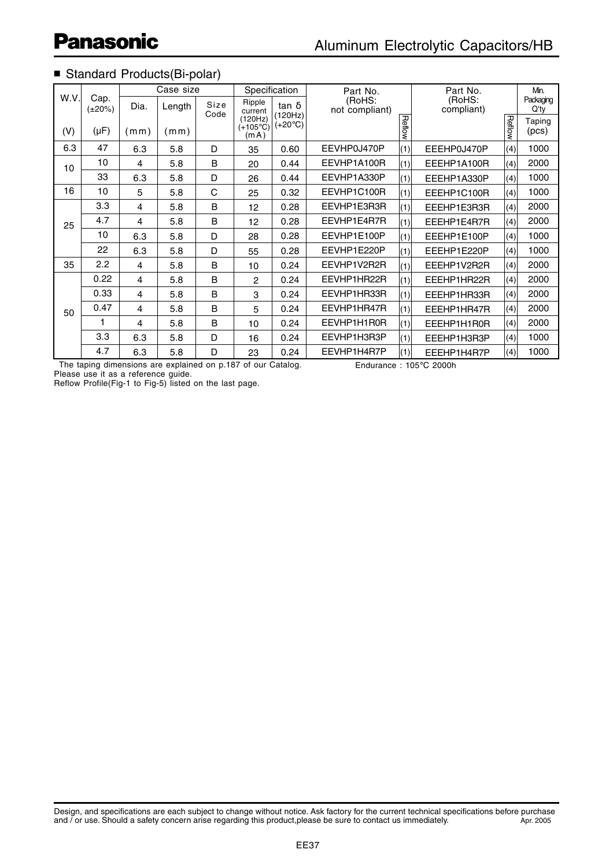## ■ Standard Products(Bi-polar)

|      |                      |      | Case size |              | Specification                         |                         | Part No.                 |     | Part No.             | Min.              |                 |
|------|----------------------|------|-----------|--------------|---------------------------------------|-------------------------|--------------------------|-----|----------------------|-------------------|-----------------|
| W.V. | Cap.<br>$(\pm 20\%)$ | Dia. | Length    | Size<br>Code | Ripple<br>current                     | $tan \delta$<br>(120Hz) | (RoHS:<br>not compliant) |     | (RoHS:<br>compliant) | Packaging<br>Q'ty |                 |
| (V)  | $(\mu F)$            | (mm) | (mm)      |              | (120Hz)<br>$(+105^{\circ}$ C)<br>(mA) | $(+20^{\circ}C)$        | <b>Reflow</b>            |     | <b>Reflow</b>        |                   | Taping<br>(pcs) |
| 6.3  | 47                   | 6.3  | 5.8       | D            | 35                                    | 0.60                    | EEVHP0J470P              | (1) | EEEHP0J470P          | (4)               | 1000            |
| 10   | 10                   | 4    | 5.8       | B            | 20                                    | 0.44                    | EEVHP1A100R              | (1) | EEEHP1A100R          | (4)               | 2000            |
|      | 33                   | 6.3  | 5.8       | D            | 26                                    | 0.44                    | EEVHP1A330P              | (1) | EEEHP1A330P          | (4)               | 1000            |
| 16   | 10                   | 5    | 5.8       | $\mathsf{C}$ | 25                                    | 0.32                    | EEVHP1C100R              | (1) | EEEHP1C100R          | (4)               | 1000            |
|      | 3.3                  | 4    | 5.8       | B            | 12                                    | 0.28                    | EEVHP1E3R3R              | (1) | EEEHP1E3R3R          | (4)               | 2000            |
| 25   | 4.7                  | 4    | 5.8       | B            | 12                                    | 0.28                    | EEVHP1E4R7R              | (1) | EEEHP1E4R7R          | (4)               | 2000            |
|      | 10                   | 6.3  | 5.8       | D            | 28                                    | 0.28                    | EEVHP1E100P              | (1) | EEEHP1E100P          | (4)               | 1000            |
|      | 22                   | 6.3  | 5.8       | D            | 55                                    | 0.28                    | EEVHP1E220P              | (1) | EEEHP1E220P          | (4)               | 1000            |
| 35   | 2.2                  | 4    | 5.8       | B            | 10                                    | 0.24                    | EEVHP1V2R2R              | (1) | EEEHP1V2R2R          | (4)               | 2000            |
|      | 0.22                 | 4    | 5.8       | B            | 2                                     | 0.24                    | EEVHP1HR22R              | (1) | EEEHP1HR22R          | (4)               | 2000            |
|      | 0.33                 | 4    | 5.8       | B            | 3                                     | 0.24                    | EEVHP1HR33R              | (1) | EEEHP1HR33R          | (4)               | 2000            |
| 50   | 0.47                 | 4    | 5.8       | B            | 5                                     | 0.24                    | EEVHP1HR47R              | (1) | EEEHP1HR47R          | (4)               | 2000            |
|      |                      | 4    | 5.8       | B            | 10                                    | 0.24                    | EEVHP1H1R0R              | (1) | EEEHP1H1R0R          | (4)               | 2000            |
|      | 3.3                  | 6.3  | 5.8       | D            | 16                                    | 0.24                    | EEVHP1H3R3P              | (1) | EEEHP1H3R3P          | (4)               | 1000            |
|      | 4.7                  | 6.3  | 5.8       | D            | 23                                    | 0.24                    | EEVHP1H4R7P              | (1) | EEEHP1H4R7P          | (4)               | 1000            |

The taping dimensions are explained on p.187 of our Catalog. Please use it as a reference guide.

Reflow Profile(Fig-1 to Fig-5) listed on the last page.

Endurance : 105°C 2000h

Design, and specifications are each subject to change without notice. Ask factory for the current technical specifications before purchase and  $\overline{\prime}$  or use. Should a safety concern arise regarding this product,please be sure to contact us immediately.  $\overline{\phantom{a}}$  Apr. 2005